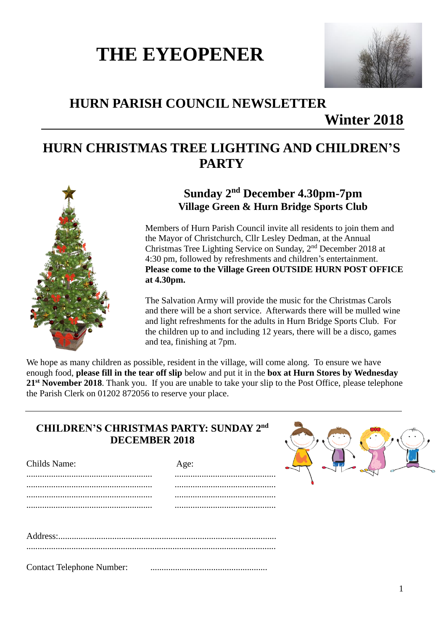# **THE EYEOPENER**



# **HURN PARISH COUNCIL NEWSLETTER**

**Winter 2018**

## **HURN CHRISTMAS TREE LIGHTING AND CHILDREN'S PARTY**



## **Sunday 2 nd December 4.30pm-7pm Village Green & Hurn Bridge Sports Club**

Members of Hurn Parish Council invite all residents to join them and the Mayor of Christchurch, Cllr Lesley Dedman, at the Annual Christmas Tree Lighting Service on Sunday, 2<sup>nd</sup> December 2018 at 4:30 pm, followed by refreshments and children's entertainment. **Please come to the Village Green OUTSIDE HURN POST OFFICE at 4.30pm.**

The Salvation Army will provide the music for the Christmas Carols and there will be a short service. Afterwards there will be mulled wine and light refreshments for the adults in Hurn Bridge Sports Club. For the children up to and including 12 years, there will be a disco, games and tea, finishing at 7pm.

We hope as many children as possible, resident in the village, will come along. To ensure we have enough food, **please fill in the tear off slip** below and put it in the **box at Hurn Stores by Wednesday 21 st November 2018**. Thank you. If you are unable to take your slip to the Post Office, please telephone the Parish Clerk on 01202 872056 to reserve your place.

## **CHILDREN'S CHRISTMAS PARTY: SUNDAY 2 nd DECEMBER 2018**

| <b>Childs Name:</b> | Age: |
|---------------------|------|
|                     |      |
|                     |      |
|                     |      |
|                     |      |
|                     |      |
|                     |      |

Contact Telephone Number:

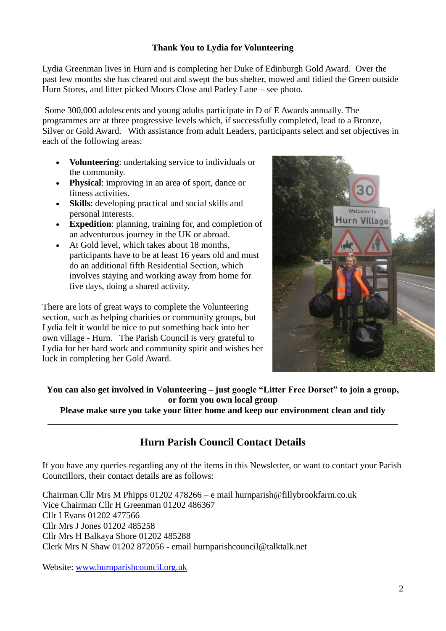## **Thank You to Lydia for Volunteering**

Lydia Greenman lives in Hurn and is completing her Duke of Edinburgh Gold Award. Over the past few months she has cleared out and swept the bus shelter, mowed and tidied the Green outside Hurn Stores, and litter picked Moors Close and Parley Lane – see photo.

Some 300,000 adolescents and young adults participate in D of E Awards annually. The programmes are at three progressive levels which, if successfully completed, lead to a Bronze, Silver or Gold Award. With assistance from adult Leaders, participants select and set objectives in each of the following areas:

- **Volunteering**: undertaking service to individuals or the community.
- **Physical**: improving in an area of sport, dance or fitness activities.
- **Skills**: developing practical and social skills and personal interests.
- **Expedition**: planning, training for, and completion of an adventurous journey in the UK or abroad.
- At Gold level, which takes about 18 months, participants have to be at least 16 years old and must do an additional fifth Residential Section, which involves staying and working away from home for five days, doing a shared activity.

There are lots of great ways to complete the Volunteering section, such as helping charities or community groups, but Lydia felt it would be nice to put something back into her own village - Hurn. The Parish Council is very grateful to Lydia for her hard work and community spirit and wishes her luck in completing her Gold Award.



**You can also get involved in Volunteering – just google "Litter Free Dorset" to join a group, or form you own local group**

**Please make sure you take your litter home and keep our environment clean and tidy \_\_\_\_\_\_\_\_\_\_\_\_\_\_\_\_\_\_\_\_\_\_\_\_\_\_\_\_\_\_\_\_\_\_\_\_\_\_\_\_\_\_\_\_\_\_\_\_\_\_\_\_\_\_\_\_\_\_\_\_\_\_\_\_\_\_\_\_\_\_\_\_\_\_\_\_\_\_**

## **Hurn Parish Council Contact Details**

If you have any queries regarding any of the items in this Newsletter, or want to contact your Parish Councillors, their contact details are as follows:

Chairman Cllr Mrs M Phipps 01202 478266 – e mail hurnparish@fillybrookfarm.co.uk Vice Chairman Cllr H Greenman 01202 486367 Cllr I Evans 01202 477566 Cllr Mrs J Jones 01202 485258 Cllr Mrs H Balkaya Shore 01202 485288 Clerk Mrs N Shaw 01202 872056 - email hurnparishcouncil@talktalk.net

Website: [www.hurnparishcouncil.org.uk](http://www.hurnparishcouncil.org.uk/)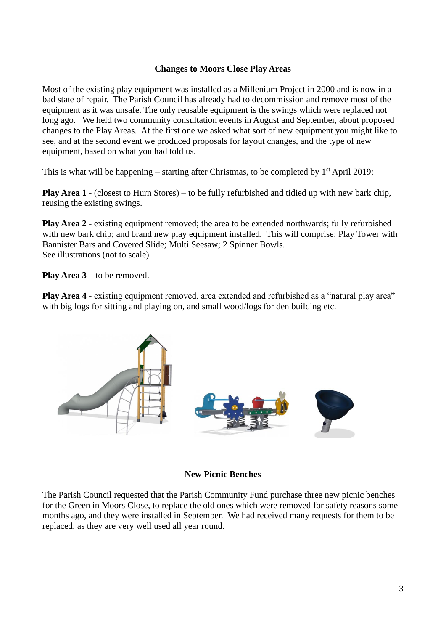### **Changes to Moors Close Play Areas**

Most of the existing play equipment was installed as a Millenium Project in 2000 and is now in a bad state of repair. The Parish Council has already had to decommission and remove most of the equipment as it was unsafe. The only reusable equipment is the swings which were replaced not long ago. We held two community consultation events in August and September, about proposed changes to the Play Areas. At the first one we asked what sort of new equipment you might like to see, and at the second event we produced proposals for layout changes, and the type of new equipment, based on what you had told us.

This is what will be happening – starting after Christmas, to be completed by  $1<sup>st</sup>$  April 2019:

**Play Area 1** - (closest to Hurn Stores) – to be fully refurbished and tidied up with new bark chip, reusing the existing swings.

**Play Area 2** - existing equipment removed; the area to be extended northwards; fully refurbished with new bark chip; and brand new play equipment installed. This will comprise: Play Tower with Bannister Bars and Covered Slide; Multi Seesaw; 2 Spinner Bowls. See illustrations (not to scale).

**Play Area 3** – to be removed.

**Play Area 4** - existing equipment removed, area extended and refurbished as a "natural play area" with big logs for sitting and playing on, and small wood/logs for den building etc.



#### **New Picnic Benches**

The Parish Council requested that the Parish Community Fund purchase three new picnic benches for the Green in Moors Close, to replace the old ones which were removed for safety reasons some months ago, and they were installed in September. We had received many requests for them to be replaced, as they are very well used all year round.